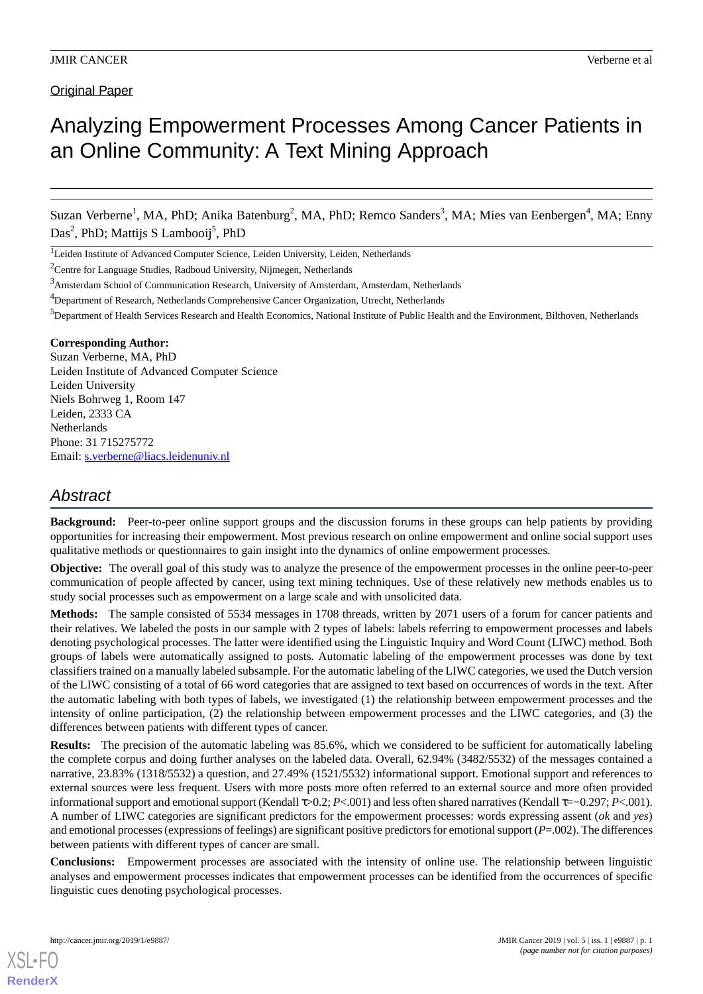Original Paper

# Analyzing Empowerment Processes Among Cancer Patients in an Online Community: A Text Mining Approach

Suzan Verberne<sup>1</sup>, MA, PhD; Anika Batenburg<sup>2</sup>, MA, PhD; Remco Sanders<sup>3</sup>, MA; Mies van Eenbergen<sup>4</sup>, MA; Enny Das<sup>2</sup>, PhD; Mattijs S Lambooij<sup>5</sup>, PhD

<sup>1</sup>Leiden Institute of Advanced Computer Science, Leiden University, Leiden, Netherlands

<sup>2</sup>Centre for Language Studies, Radboud University, Nijmegen, Netherlands

<sup>3</sup>Amsterdam School of Communication Research, University of Amsterdam, Amsterdam, Netherlands

<sup>4</sup>Department of Research, Netherlands Comprehensive Cancer Organization, Utrecht, Netherlands

<sup>5</sup>Department of Health Services Research and Health Economics, National Institute of Public Health and the Environment, Bilthoven, Netherlands

#### **Corresponding Author:**

Suzan Verberne, MA, PhD Leiden Institute of Advanced Computer Science Leiden University Niels Bohrweg 1, Room 147 Leiden, 2333 CA Netherlands Phone: 31 715275772 Email: [s.verberne@liacs.leidenuniv.nl](mailto:s.verberne@liacs.leidenuniv.nl)

# *Abstract*

**Background:** Peer-to-peer online support groups and the discussion forums in these groups can help patients by providing opportunities for increasing their empowerment. Most previous research on online empowerment and online social support uses qualitative methods or questionnaires to gain insight into the dynamics of online empowerment processes.

**Objective:** The overall goal of this study was to analyze the presence of the empowerment processes in the online peer-to-peer communication of people affected by cancer, using text mining techniques. Use of these relatively new methods enables us to study social processes such as empowerment on a large scale and with unsolicited data.

**Methods:** The sample consisted of 5534 messages in 1708 threads, written by 2071 users of a forum for cancer patients and their relatives. We labeled the posts in our sample with 2 types of labels: labels referring to empowerment processes and labels denoting psychological processes. The latter were identified using the Linguistic Inquiry and Word Count (LIWC) method. Both groups of labels were automatically assigned to posts. Automatic labeling of the empowerment processes was done by text classifiers trained on a manually labeled subsample. For the automatic labeling of the LIWC categories, we used the Dutch version of the LIWC consisting of a total of 66 word categories that are assigned to text based on occurrences of words in the text. After the automatic labeling with both types of labels, we investigated (1) the relationship between empowerment processes and the intensity of online participation, (2) the relationship between empowerment processes and the LIWC categories, and (3) the differences between patients with different types of cancer.

**Results:** The precision of the automatic labeling was 85.6%, which we considered to be sufficient for automatically labeling the complete corpus and doing further analyses on the labeled data. Overall, 62.94% (3482/5532) of the messages contained a narrative, 23.83% (1318/5532) a question, and 27.49% (1521/5532) informational support. Emotional support and references to external sources were less frequent. Users with more posts more often referred to an external source and more often provided informational support and emotional support (Kendall τ>0.2; *P*<.001) and less often shared narratives (Kendall τ=−0.297; *P*<.001). A number of LIWC categories are significant predictors for the empowerment processes: words expressing assent (*ok* and *yes*) and emotional processes (expressions of feelings) are significant positive predictors for emotional support (*P*=.002). The differences between patients with different types of cancer are small.

**Conclusions:** Empowerment processes are associated with the intensity of online use. The relationship between linguistic analyses and empowerment processes indicates that empowerment processes can be identified from the occurrences of specific linguistic cues denoting psychological processes.

[XSL](http://www.w3.org/Style/XSL)•FO **[RenderX](http://www.renderx.com/)**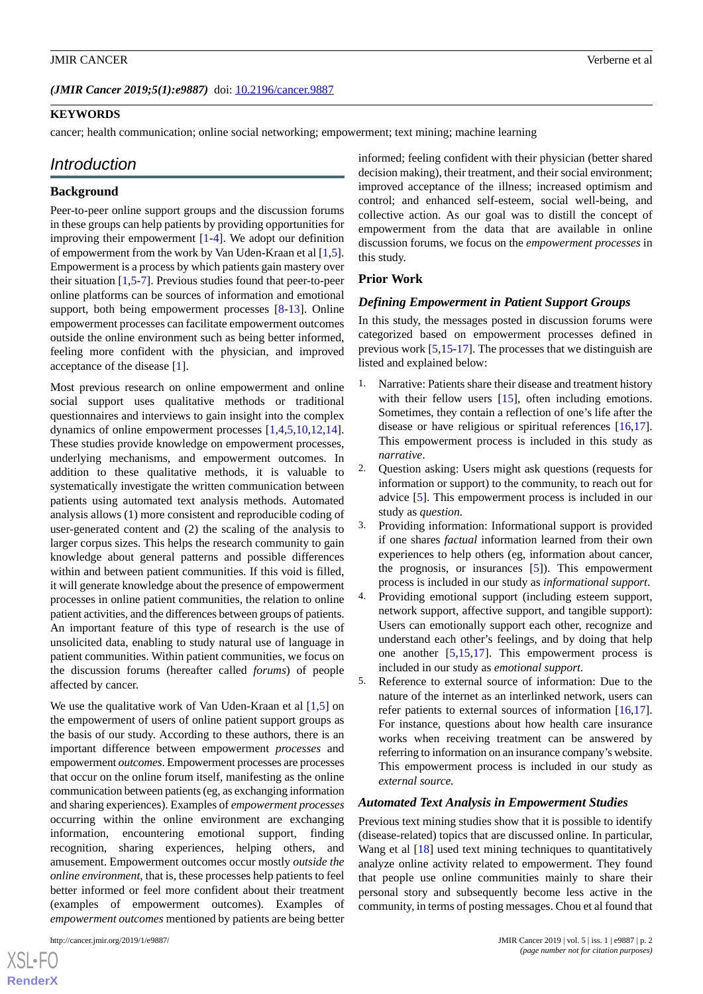#### **KEYWORDS**

cancer; health communication; online social networking; empowerment; text mining; machine learning

# *Introduction*

#### **Background**

Peer-to-peer online support groups and the discussion forums in these groups can help patients by providing opportunities for improving their empowerment [\[1](#page-10-0)-[4\]](#page-10-1). We adopt our definition of empowerment from the work by Van Uden-Kraan et al [\[1](#page-10-0),[5\]](#page-10-2). Empowerment is a process by which patients gain mastery over their situation [\[1](#page-10-0),[5](#page-10-2)[-7](#page-10-3)]. Previous studies found that peer-to-peer online platforms can be sources of information and emotional support, both being empowerment processes [[8-](#page-10-4)[13](#page-10-5)]. Online empowerment processes can facilitate empowerment outcomes outside the online environment such as being better informed, feeling more confident with the physician, and improved acceptance of the disease [\[1](#page-10-0)].

Most previous research on online empowerment and online social support uses qualitative methods or traditional questionnaires and interviews to gain insight into the complex dynamics of online empowerment processes [\[1](#page-10-0),[4](#page-10-1)[,5](#page-10-2),[10](#page-10-6)[,12](#page-10-7),[14\]](#page-10-8). These studies provide knowledge on empowerment processes, underlying mechanisms, and empowerment outcomes. In addition to these qualitative methods, it is valuable to systematically investigate the written communication between patients using automated text analysis methods. Automated analysis allows (1) more consistent and reproducible coding of user-generated content and (2) the scaling of the analysis to larger corpus sizes. This helps the research community to gain knowledge about general patterns and possible differences within and between patient communities. If this void is filled, it will generate knowledge about the presence of empowerment processes in online patient communities, the relation to online patient activities, and the differences between groups of patients. An important feature of this type of research is the use of unsolicited data, enabling to study natural use of language in patient communities. Within patient communities, we focus on the discussion forums (hereafter called *forums*) of people affected by cancer.

We use the qualitative work of Van Uden-Kraan et al [[1](#page-10-0)[,5\]](#page-10-2) on the empowerment of users of online patient support groups as the basis of our study. According to these authors, there is an important difference between empowerment *processes* and empowerment *outcomes*. Empowerment processes are processes that occur on the online forum itself, manifesting as the online communication between patients (eg, as exchanging information and sharing experiences). Examples of *empowerment processes* occurring within the online environment are exchanging information, encountering emotional support, finding recognition, sharing experiences, helping others, and amusement. Empowerment outcomes occur mostly *outside the online environment*, that is, these processes help patients to feel better informed or feel more confident about their treatment (examples of empowerment outcomes). Examples of *empowerment outcomes* mentioned by patients are being better

http://cancer.jmir.org/2019/1/e9887/ JMIR Cancer 2019 | vol. 5 | iss. 1 | e9887 | p. 2

[XSL](http://www.w3.org/Style/XSL)•FO **[RenderX](http://www.renderx.com/)** informed; feeling confident with their physician (better shared decision making), their treatment, and their social environment; improved acceptance of the illness; increased optimism and control; and enhanced self-esteem, social well-being, and collective action. As our goal was to distill the concept of empowerment from the data that are available in online discussion forums, we focus on the *empowerment processes* in this study.

#### **Prior Work**

#### *Defining Empowerment in Patient Support Groups*

In this study, the messages posted in discussion forums were categorized based on empowerment processes defined in previous work [\[5](#page-10-2),[15-](#page-10-9)[17\]](#page-10-10). The processes that we distinguish are listed and explained below:

- 1. Narrative: Patients share their disease and treatment history with their fellow users [\[15](#page-10-9)], often including emotions. Sometimes, they contain a reflection of one's life after the disease or have religious or spiritual references [\[16](#page-10-11),[17\]](#page-10-10). This empowerment process is included in this study as *narrative*.
- 2. Question asking: Users might ask questions (requests for information or support) to the community, to reach out for advice [\[5](#page-10-2)]. This empowerment process is included in our study as *question.*
- 3. Providing information: Informational support is provided if one shares *factual* information learned from their own experiences to help others (eg, information about cancer, the prognosis, or insurances [[5\]](#page-10-2)). This empowerment process is included in our study as *informational support*.
- 4. Providing emotional support (including esteem support, network support, affective support, and tangible support): Users can emotionally support each other, recognize and understand each other's feelings, and by doing that help one another [[5](#page-10-2)[,15](#page-10-9),[17\]](#page-10-10). This empowerment process is included in our study as *emotional support.*
- 5. Reference to external source of information: Due to the nature of the internet as an interlinked network, users can refer patients to external sources of information [\[16](#page-10-11),[17\]](#page-10-10). For instance, questions about how health care insurance works when receiving treatment can be answered by referring to information on an insurance company's website. This empowerment process is included in our study as *external source.*

#### *Automated Text Analysis in Empowerment Studies*

Previous text mining studies show that it is possible to identify (disease-related) topics that are discussed online. In particular, Wang et al [[18\]](#page-10-12) used text mining techniques to quantitatively analyze online activity related to empowerment. They found that people use online communities mainly to share their personal story and subsequently become less active in the community, in terms of posting messages. Chou et al found that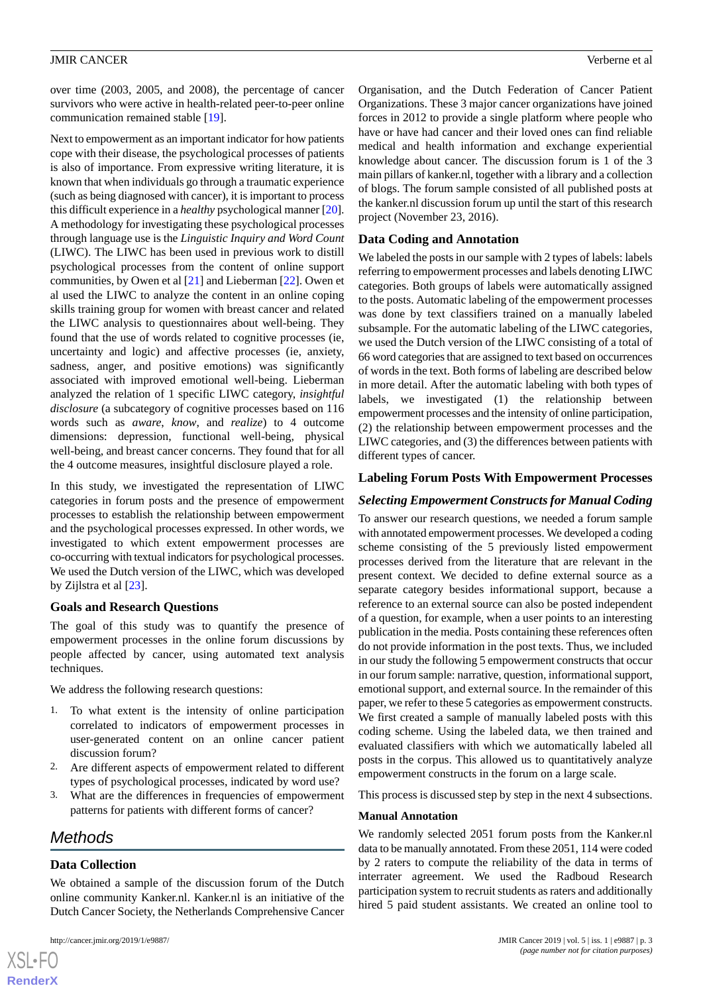over time (2003, 2005, and 2008), the percentage of cancer survivors who were active in health-related peer-to-peer online communication remained stable [\[19](#page-10-13)].

Next to empowerment as an important indicator for how patients cope with their disease, the psychological processes of patients is also of importance. From expressive writing literature, it is known that when individuals go through a traumatic experience (such as being diagnosed with cancer), it is important to process this difficult experience in a *healthy* psychological manner [\[20\]](#page-11-0). A methodology for investigating these psychological processes through language use is the *Linguistic Inquiry and Word Count* (LIWC). The LIWC has been used in previous work to distill psychological processes from the content of online support communities, by Owen et al [\[21](#page-11-1)] and Lieberman [\[22](#page-11-2)]. Owen et al used the LIWC to analyze the content in an online coping skills training group for women with breast cancer and related the LIWC analysis to questionnaires about well-being. They found that the use of words related to cognitive processes (ie, uncertainty and logic) and affective processes (ie, anxiety, sadness, anger, and positive emotions) was significantly associated with improved emotional well-being. Lieberman analyzed the relation of 1 specific LIWC category, *insightful disclosure* (a subcategory of cognitive processes based on 116 words such as *aware*, *know*, and *realize*) to 4 outcome dimensions: depression, functional well-being, physical well-being, and breast cancer concerns. They found that for all the 4 outcome measures, insightful disclosure played a role.

In this study, we investigated the representation of LIWC categories in forum posts and the presence of empowerment processes to establish the relationship between empowerment and the psychological processes expressed. In other words, we investigated to which extent empowerment processes are co-occurring with textual indicators for psychological processes. We used the Dutch version of the LIWC, which was developed by Zijlstra et al [\[23](#page-11-3)].

# **Goals and Research Questions**

The goal of this study was to quantify the presence of empowerment processes in the online forum discussions by people affected by cancer, using automated text analysis techniques.

We address the following research questions:

- 1. To what extent is the intensity of online participation correlated to indicators of empowerment processes in user-generated content on an online cancer patient discussion forum?
- 2. Are different aspects of empowerment related to different types of psychological processes, indicated by word use?
- 3. What are the differences in frequencies of empowerment patterns for patients with different forms of cancer?

# *Methods*

 $XS$  $\cdot$ FC **[RenderX](http://www.renderx.com/)**

# **Data Collection**

We obtained a sample of the discussion forum of the Dutch online community Kanker.nl. Kanker.nl is an initiative of the Dutch Cancer Society, the Netherlands Comprehensive Cancer

Organisation, and the Dutch Federation of Cancer Patient Organizations. These 3 major cancer organizations have joined forces in 2012 to provide a single platform where people who have or have had cancer and their loved ones can find reliable medical and health information and exchange experiential knowledge about cancer. The discussion forum is 1 of the 3 main pillars of kanker.nl, together with a library and a collection of blogs. The forum sample consisted of all published posts at the kanker.nl discussion forum up until the start of this research project (November 23, 2016).

# **Data Coding and Annotation**

We labeled the posts in our sample with 2 types of labels: labels referring to empowerment processes and labels denoting LIWC categories. Both groups of labels were automatically assigned to the posts. Automatic labeling of the empowerment processes was done by text classifiers trained on a manually labeled subsample. For the automatic labeling of the LIWC categories, we used the Dutch version of the LIWC consisting of a total of 66 word categories that are assigned to text based on occurrences of words in the text. Both forms of labeling are described below in more detail. After the automatic labeling with both types of labels, we investigated (1) the relationship between empowerment processes and the intensity of online participation, (2) the relationship between empowerment processes and the LIWC categories, and (3) the differences between patients with different types of cancer.

# **Labeling Forum Posts With Empowerment Processes**

# *Selecting Empowerment Constructs for Manual Coding*

To answer our research questions, we needed a forum sample with annotated empowerment processes. We developed a coding scheme consisting of the 5 previously listed empowerment processes derived from the literature that are relevant in the present context. We decided to define external source as a separate category besides informational support, because a reference to an external source can also be posted independent of a question, for example, when a user points to an interesting publication in the media. Posts containing these references often do not provide information in the post texts. Thus, we included in our study the following 5 empowerment constructs that occur in our forum sample: narrative, question, informational support, emotional support, and external source. In the remainder of this paper, we refer to these 5 categories as empowerment constructs. We first created a sample of manually labeled posts with this coding scheme. Using the labeled data, we then trained and evaluated classifiers with which we automatically labeled all posts in the corpus. This allowed us to quantitatively analyze empowerment constructs in the forum on a large scale.

This process is discussed step by step in the next 4 subsections.

#### **Manual Annotation**

We randomly selected 2051 forum posts from the Kanker.nl data to be manually annotated. From these 2051, 114 were coded by 2 raters to compute the reliability of the data in terms of interrater agreement. We used the Radboud Research participation system to recruit students as raters and additionally hired 5 paid student assistants. We created an online tool to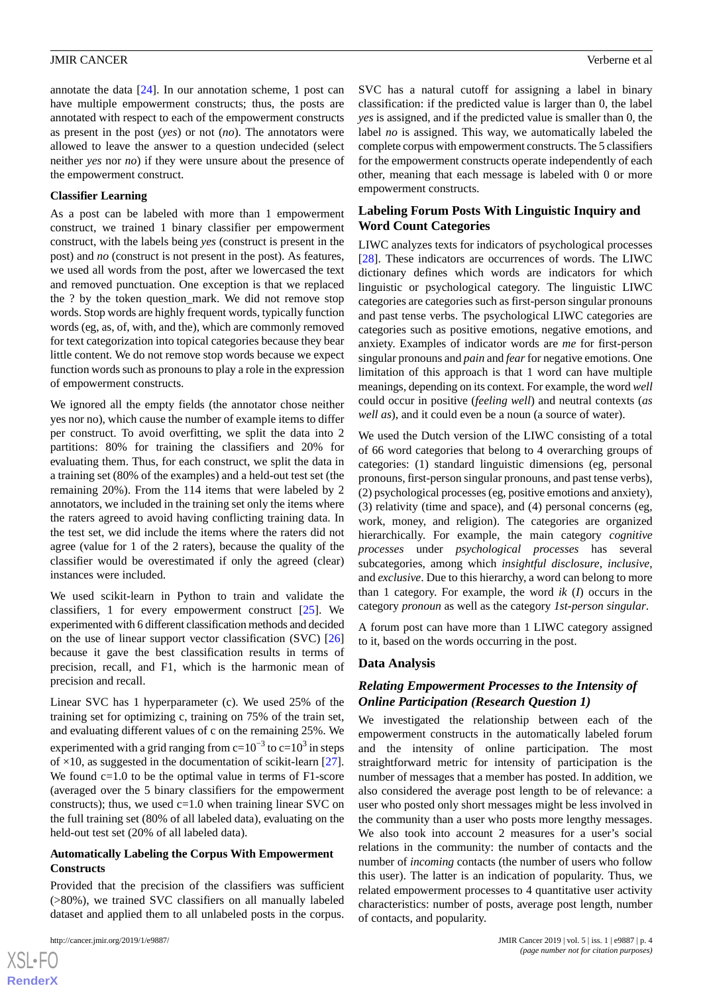annotate the data [\[24](#page-11-4)]. In our annotation scheme, 1 post can have multiple empowerment constructs; thus, the posts are annotated with respect to each of the empowerment constructs as present in the post (*yes*) or not (*no*). The annotators were allowed to leave the answer to a question undecided (select neither *yes* nor *no*) if they were unsure about the presence of the empowerment construct.

#### **Classifier Learning**

As a post can be labeled with more than 1 empowerment construct, we trained 1 binary classifier per empowerment construct, with the labels being *yes* (construct is present in the post) and *no* (construct is not present in the post). As features, we used all words from the post, after we lowercased the text and removed punctuation. One exception is that we replaced the ? by the token question\_mark. We did not remove stop words. Stop words are highly frequent words, typically function words (eg, as, of, with, and the), which are commonly removed for text categorization into topical categories because they bear little content. We do not remove stop words because we expect function words such as pronouns to play a role in the expression of empowerment constructs.

We ignored all the empty fields (the annotator chose neither yes nor no), which cause the number of example items to differ per construct. To avoid overfitting, we split the data into 2 partitions: 80% for training the classifiers and 20% for evaluating them. Thus, for each construct, we split the data in a training set (80% of the examples) and a held-out test set (the remaining 20%). From the 114 items that were labeled by 2 annotators, we included in the training set only the items where the raters agreed to avoid having conflicting training data. In the test set, we did include the items where the raters did not agree (value for 1 of the 2 raters), because the quality of the classifier would be overestimated if only the agreed (clear) instances were included.

We used scikit-learn in Python to train and validate the classifiers, 1 for every empowerment construct [[25\]](#page-11-5). We experimented with 6 different classification methods and decided on the use of linear support vector classification (SVC) [\[26](#page-11-6)] because it gave the best classification results in terms of precision, recall, and F1, which is the harmonic mean of precision and recall.

Linear SVC has 1 hyperparameter (c). We used 25% of the training set for optimizing c, training on 75% of the train set, and evaluating different values of c on the remaining 25%. We experimented with a grid ranging from c=10<sup>-3</sup> to c=10<sup>3</sup> in steps of  $\times$ 10, as suggested in the documentation of scikit-learn [[27\]](#page-11-7). We found  $c=1.0$  to be the optimal value in terms of  $F1$ -score (averaged over the 5 binary classifiers for the empowerment constructs); thus, we used  $c=1.0$  when training linear SVC on the full training set (80% of all labeled data), evaluating on the held-out test set (20% of all labeled data).

#### **Automatically Labeling the Corpus With Empowerment Constructs**

Provided that the precision of the classifiers was sufficient (>80%), we trained SVC classifiers on all manually labeled dataset and applied them to all unlabeled posts in the corpus.

 $XS$ -FO **[RenderX](http://www.renderx.com/)**

SVC has a natural cutoff for assigning a label in binary classification: if the predicted value is larger than 0, the label *yes* is assigned, and if the predicted value is smaller than 0, the label *no* is assigned. This way, we automatically labeled the complete corpus with empowerment constructs. The 5 classifiers for the empowerment constructs operate independently of each other, meaning that each message is labeled with 0 or more empowerment constructs.

# **Labeling Forum Posts With Linguistic Inquiry and Word Count Categories**

LIWC analyzes texts for indicators of psychological processes [[28\]](#page-11-8). These indicators are occurrences of words. The LIWC dictionary defines which words are indicators for which linguistic or psychological category. The linguistic LIWC categories are categories such as first-person singular pronouns and past tense verbs. The psychological LIWC categories are categories such as positive emotions, negative emotions, and anxiety. Examples of indicator words are *me* for first-person singular pronouns and *pain* and *fear*for negative emotions. One limitation of this approach is that 1 word can have multiple meanings, depending on its context. For example, the word *well* could occur in positive (*feeling well*) and neutral contexts (*as well as*), and it could even be a noun (a source of water).

We used the Dutch version of the LIWC consisting of a total of 66 word categories that belong to 4 overarching groups of categories: (1) standard linguistic dimensions (eg, personal pronouns, first-person singular pronouns, and past tense verbs), (2) psychological processes (eg, positive emotions and anxiety), (3) relativity (time and space), and (4) personal concerns (eg, work, money, and religion). The categories are organized hierarchically. For example, the main category *cognitive processes* under *psychological processes* has several subcategories, among which *insightful disclosure*, *inclusive*, and *exclusive*. Due to this hierarchy, a word can belong to more than 1 category. For example, the word *ik* (*I*) occurs in the category *pronoun* as well as the category *1st-person singular*.

A forum post can have more than 1 LIWC category assigned to it, based on the words occurring in the post.

# **Data Analysis**

# *Relating Empowerment Processes to the Intensity of Online Participation (Research Question 1)*

We investigated the relationship between each of the empowerment constructs in the automatically labeled forum and the intensity of online participation. The most straightforward metric for intensity of participation is the number of messages that a member has posted. In addition, we also considered the average post length to be of relevance: a user who posted only short messages might be less involved in the community than a user who posts more lengthy messages. We also took into account 2 measures for a user's social relations in the community: the number of contacts and the number of *incoming* contacts (the number of users who follow this user). The latter is an indication of popularity. Thus, we related empowerment processes to 4 quantitative user activity characteristics: number of posts, average post length, number of contacts, and popularity.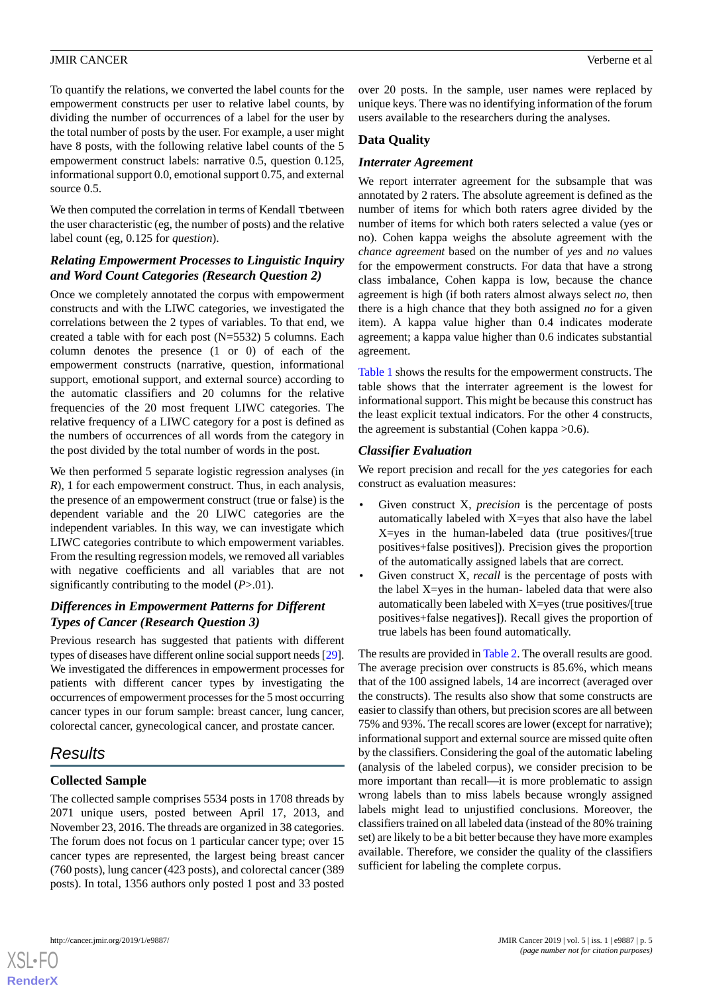To quantify the relations, we converted the label counts for the empowerment constructs per user to relative label counts, by dividing the number of occurrences of a label for the user by the total number of posts by the user. For example, a user might have 8 posts, with the following relative label counts of the 5 empowerment construct labels: narrative 0.5, question 0.125, informational support 0.0, emotional support 0.75, and external source  $0.5$ .

We then computed the correlation in terms of Kendall  $\tau$  between the user characteristic (eg, the number of posts) and the relative label count (eg, 0.125 for *question*).

# *Relating Empowerment Processes to Linguistic Inquiry and Word Count Categories (Research Question 2)*

Once we completely annotated the corpus with empowerment constructs and with the LIWC categories, we investigated the correlations between the 2 types of variables. To that end, we created a table with for each post (N=5532) 5 columns. Each column denotes the presence (1 or 0) of each of the empowerment constructs (narrative, question, informational support, emotional support, and external source) according to the automatic classifiers and 20 columns for the relative frequencies of the 20 most frequent LIWC categories. The relative frequency of a LIWC category for a post is defined as the numbers of occurrences of all words from the category in the post divided by the total number of words in the post.

We then performed 5 separate logistic regression analyses (in *R*), 1 for each empowerment construct. Thus, in each analysis, the presence of an empowerment construct (true or false) is the dependent variable and the 20 LIWC categories are the independent variables. In this way, we can investigate which LIWC categories contribute to which empowerment variables. From the resulting regression models, we removed all variables with negative coefficients and all variables that are not significantly contributing to the model (*P*>.01).

# *Differences in Empowerment Patterns for Different Types of Cancer (Research Question 3)*

Previous research has suggested that patients with different types of diseases have different online social support needs [\[29\]](#page-11-9). We investigated the differences in empowerment processes for patients with different cancer types by investigating the occurrences of empowerment processes for the 5 most occurring cancer types in our forum sample: breast cancer, lung cancer, colorectal cancer, gynecological cancer, and prostate cancer.

# *Results*

# **Collected Sample**

The collected sample comprises 5534 posts in 1708 threads by 2071 unique users, posted between April 17, 2013, and November 23, 2016. The threads are organized in 38 categories. The forum does not focus on 1 particular cancer type; over 15 cancer types are represented, the largest being breast cancer (760 posts), lung cancer (423 posts), and colorectal cancer (389 posts). In total, 1356 authors only posted 1 post and 33 posted

over 20 posts. In the sample, user names were replaced by unique keys. There was no identifying information of the forum users available to the researchers during the analyses.

# **Data Quality**

#### *Interrater Agreement*

We report interrater agreement for the subsample that was annotated by 2 raters. The absolute agreement is defined as the number of items for which both raters agree divided by the number of items for which both raters selected a value (yes or no). Cohen kappa weighs the absolute agreement with the *chance agreement* based on the number of *yes* and *no* values for the empowerment constructs. For data that have a strong class imbalance, Cohen kappa is low, because the chance agreement is high (if both raters almost always select *no*, then there is a high chance that they both assigned *no* for a given item). A kappa value higher than 0.4 indicates moderate agreement; a kappa value higher than 0.6 indicates substantial agreement.

[Table 1](#page-5-0) shows the results for the empowerment constructs. The table shows that the interrater agreement is the lowest for informational support. This might be because this construct has the least explicit textual indicators. For the other 4 constructs, the agreement is substantial (Cohen kappa >0.6).

## *Classifier Evaluation*

We report precision and recall for the *yes* categories for each construct as evaluation measures:

- Given construct X, *precision* is the percentage of posts automatically labeled with  $X = yes$  that also have the label X=yes in the human-labeled data (true positives/[true positives+false positives]). Precision gives the proportion of the automatically assigned labels that are correct.
- Given construct X, *recall* is the percentage of posts with the label X=yes in the human- labeled data that were also automatically been labeled with X=yes (true positives/[true positives+false negatives]). Recall gives the proportion of true labels has been found automatically.

The results are provided in [Table 2.](#page-5-1) The overall results are good. The average precision over constructs is 85.6%, which means that of the 100 assigned labels, 14 are incorrect (averaged over the constructs). The results also show that some constructs are easier to classify than others, but precision scores are all between 75% and 93%. The recall scores are lower (except for narrative); informational support and external source are missed quite often by the classifiers. Considering the goal of the automatic labeling (analysis of the labeled corpus), we consider precision to be more important than recall—it is more problematic to assign wrong labels than to miss labels because wrongly assigned labels might lead to unjustified conclusions. Moreover, the classifiers trained on all labeled data (instead of the 80% training set) are likely to be a bit better because they have more examples available. Therefore, we consider the quality of the classifiers sufficient for labeling the complete corpus.

```
XSL•FO
RenderX
```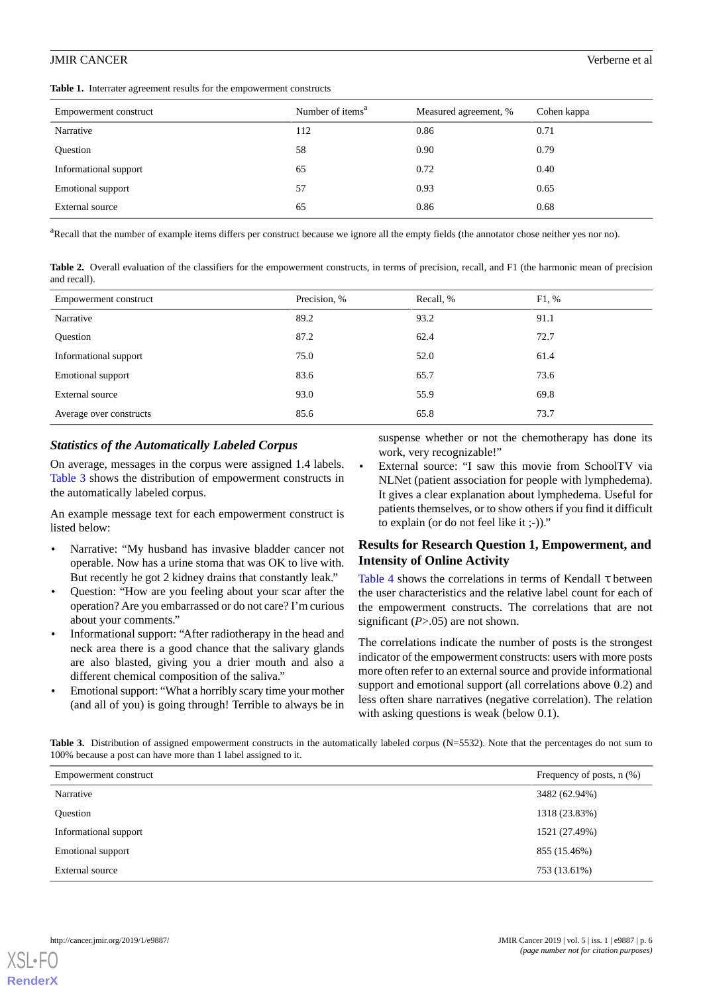<span id="page-5-0"></span>**Table 1.** Interrater agreement results for the empowerment constructs

| Empowerment construct | Number of items <sup>a</sup> | Measured agreement, % | Cohen kappa |
|-----------------------|------------------------------|-----------------------|-------------|
| Narrative             | 112                          | 0.86                  | 0.71        |
| <b>Ouestion</b>       | 58                           | 0.90                  | 0.79        |
| Informational support | 65                           | 0.72                  | 0.40        |
| Emotional support     | 57                           | 0.93                  | 0.65        |
| External source       | 65                           | 0.86                  | 0.68        |

<span id="page-5-1"></span><sup>a</sup>Recall that the number of example items differs per construct because we ignore all the empty fields (the annotator chose neither yes nor no).

Table 2. Overall evaluation of the classifiers for the empowerment constructs, in terms of precision, recall, and F1 (the harmonic mean of precision and recall).

| Empowerment construct    | Precision, % | Recall, % | F1, % |
|--------------------------|--------------|-----------|-------|
| Narrative                | 89.2         | 93.2      | 91.1  |
| <b>Ouestion</b>          | 87.2         | 62.4      | 72.7  |
| Informational support    | 75.0         | 52.0      | 61.4  |
| <b>Emotional support</b> | 83.6         | 65.7      | 73.6  |
| External source          | 93.0         | 55.9      | 69.8  |
| Average over constructs  | 85.6         | 65.8      | 73.7  |

#### *Statistics of the Automatically Labeled Corpus*

On average, messages in the corpus were assigned 1.4 labels. [Table 3](#page-5-2) shows the distribution of empowerment constructs in the automatically labeled corpus.

An example message text for each empowerment construct is listed below:

- Narrative: "My husband has invasive bladder cancer not operable. Now has a urine stoma that was OK to live with. But recently he got 2 kidney drains that constantly leak."
- Question: "How are you feeling about your scar after the operation? Are you embarrassed or do not care? I'm curious about your comments."
- Informational support: "After radiotherapy in the head and neck area there is a good chance that the salivary glands are also blasted, giving you a drier mouth and also a different chemical composition of the saliva."
- <span id="page-5-2"></span>• Emotional support: "What a horribly scary time your mother (and all of you) is going through! Terrible to always be in

suspense whether or not the chemotherapy has done its work, very recognizable!"

External source: "I saw this movie from SchoolTV via NLNet (patient association for people with lymphedema). It gives a clear explanation about lymphedema. Useful for patients themselves, or to show others if you find it difficult to explain (or do not feel like it ;-))."

# **Results for Research Question 1, Empowerment, and Intensity of Online Activity**

[Table 4](#page-6-0) shows the correlations in terms of Kendall  $\tau$  between the user characteristics and the relative label count for each of the empowerment constructs. The correlations that are not significant (*P*>.05) are not shown.

The correlations indicate the number of posts is the strongest indicator of the empowerment constructs: users with more posts more often refer to an external source and provide informational support and emotional support (all correlations above 0.2) and less often share narratives (negative correlation). The relation with asking questions is weak (below 0.1).

Table 3. Distribution of assigned empowerment constructs in the automatically labeled corpus (N=5532). Note that the percentages do not sum to 100% because a post can have more than 1 label assigned to it.

| Empowerment construct | Frequency of posts, $n$ $(\%)$ |
|-----------------------|--------------------------------|
| Narrative             | 3482 (62.94%)                  |
| Question              | 1318 (23.83%)                  |
| Informational support | 1521 (27.49%)                  |
| Emotional support     | 855 (15.46%)                   |
| External source       | 753 (13.61%)                   |

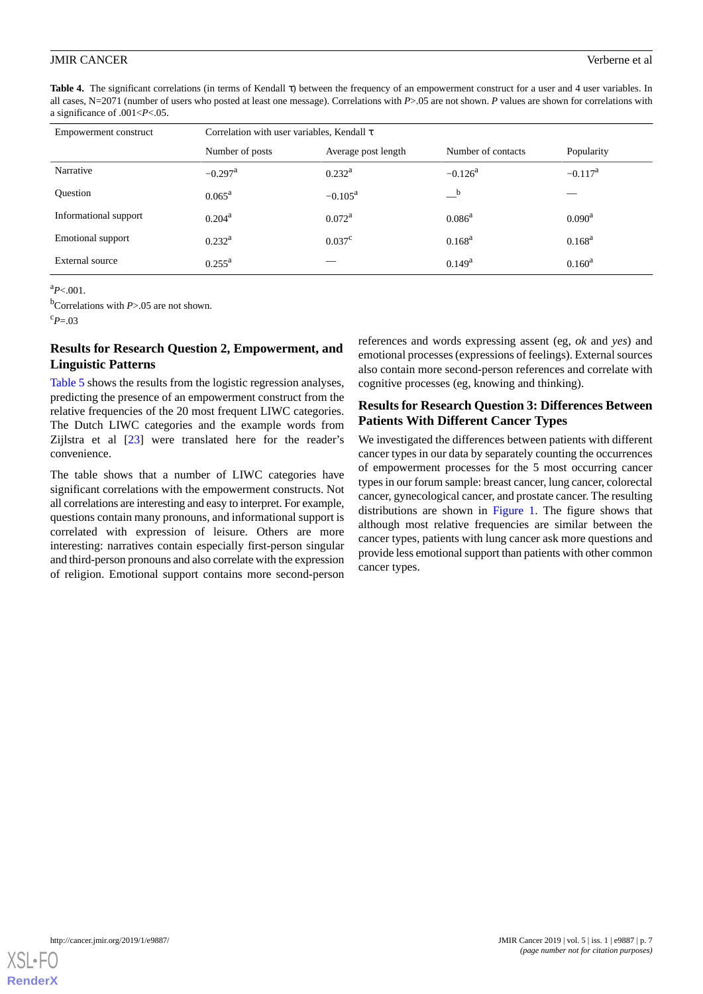<span id="page-6-0"></span>**Table 4.** The significant correlations (in terms of Kendall τ) between the frequency of an empowerment construct for a user and 4 user variables. In all cases, N=2071 (number of users who posted at least one message). Correlations with *P*>.05 are not shown. *P* values are shown for correlations with a significance of .001<*P*<.05.

| Empowerment construct | Correlation with user variables, Kendall $\tau$ |                     |                       |                 |  |
|-----------------------|-------------------------------------------------|---------------------|-----------------------|-----------------|--|
|                       | Number of posts                                 | Average post length | Number of contacts    | Popularity      |  |
| Narrative             | $-0.297$ <sup>a</sup>                           | $0.232^{\rm a}$     | $-0.126$ <sup>a</sup> | $-0.117^a$      |  |
| <b>Ouestion</b>       | $0.065^{\rm a}$                                 | $-0.105^{\rm a}$    | b                     |                 |  |
| Informational support | $0.204^{\rm a}$                                 | $0.072^{\rm a}$     | $0.086^{\rm a}$       | $0.090^{\rm a}$ |  |
| Emotional support     | $0.232^{\rm a}$                                 | $0.037^{\circ}$     | $0.168^{\rm a}$       | $0.168^{\rm a}$ |  |
| External source       | $0.255^{\rm a}$                                 |                     | $0.149^a$             | $0.160^a$       |  |

 $a_{P<.001}$ .

<sup>b</sup>Correlations with *P*>.05 are not shown.

 $c_{P=03}$ 

# **Results for Research Question 2, Empowerment, and Linguistic Patterns**

[Table 5](#page-7-0) shows the results from the logistic regression analyses, predicting the presence of an empowerment construct from the relative frequencies of the 20 most frequent LIWC categories. The Dutch LIWC categories and the example words from Zijlstra et al [\[23](#page-11-3)] were translated here for the reader's convenience.

The table shows that a number of LIWC categories have significant correlations with the empowerment constructs. Not all correlations are interesting and easy to interpret. For example, questions contain many pronouns, and informational support is correlated with expression of leisure. Others are more interesting: narratives contain especially first-person singular and third-person pronouns and also correlate with the expression of religion. Emotional support contains more second-person

references and words expressing assent (eg, *ok* and *yes*) and emotional processes (expressions of feelings). External sources also contain more second-person references and correlate with cognitive processes (eg, knowing and thinking).

# **Results for Research Question 3: Differences Between Patients With Different Cancer Types**

We investigated the differences between patients with different cancer types in our data by separately counting the occurrences of empowerment processes for the 5 most occurring cancer types in our forum sample: breast cancer, lung cancer, colorectal cancer, gynecological cancer, and prostate cancer. The resulting distributions are shown in [Figure 1](#page-7-1). The figure shows that although most relative frequencies are similar between the cancer types, patients with lung cancer ask more questions and provide less emotional support than patients with other common cancer types.

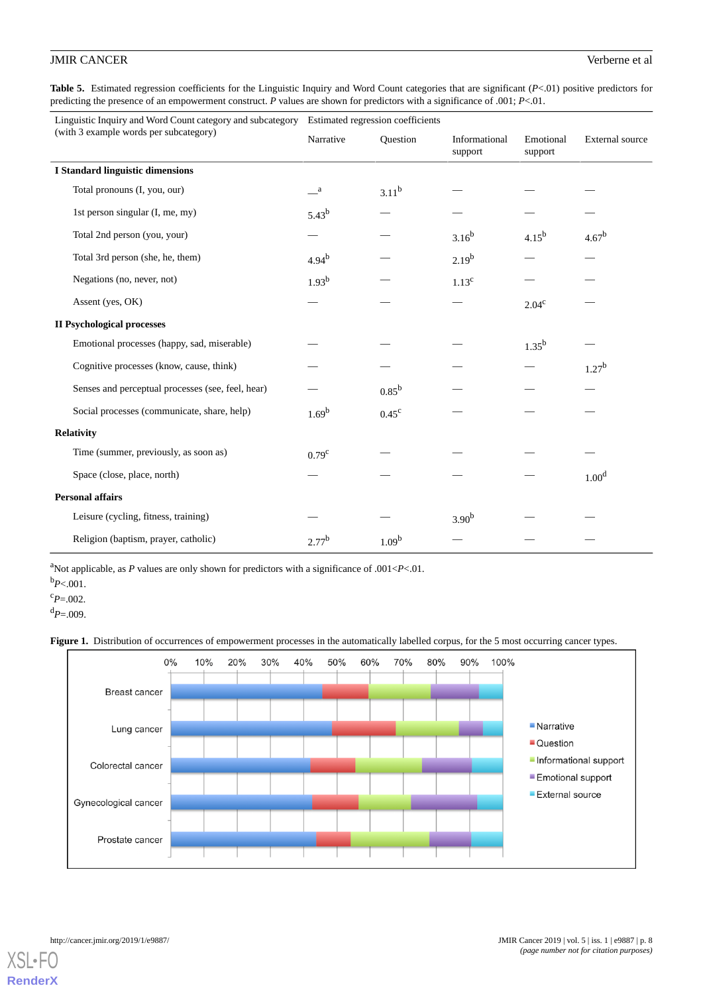<span id="page-7-0"></span>**Table 5.** Estimated regression coefficients for the Linguistic Inquiry and Word Count categories that are significant (*P*<.01) positive predictors for predicting the presence of an empowerment construct. *P* values are shown for predictors with a significance of .001; *P*<.01.

| Linguistic Inquiry and Word Count category and subcategory<br>(with 3 example words per subcategory) | Estimated regression coefficients |                |                          |                      |                        |
|------------------------------------------------------------------------------------------------------|-----------------------------------|----------------|--------------------------|----------------------|------------------------|
|                                                                                                      | Narrative                         | Ouestion       | Informational<br>support | Emotional<br>support | <b>External</b> source |
| <b>I Standard linguistic dimensions</b>                                                              |                                   |                |                          |                      |                        |
| Total pronouns (I, you, our)                                                                         | $\mathbf{a}$                      | $3.11^{b}$     |                          |                      |                        |
| 1st person singular (I, me, my)                                                                      | $5.43^{b}$                        |                |                          |                      |                        |
| Total 2nd person (you, your)                                                                         |                                   |                | $3.16^{b}$               | $4.15^{b}$           | $4.67^{b}$             |
| Total 3rd person (she, he, them)                                                                     | $4.94^{b}$                        |                | $2.19^{b}$               |                      |                        |
| Negations (no, never, not)                                                                           | $1.93^{b}$                        |                | 1.13 <sup>c</sup>        |                      |                        |
| Assent (yes, OK)                                                                                     |                                   |                |                          | $2.04^{\circ}$       |                        |
| <b>II Psychological processes</b>                                                                    |                                   |                |                          |                      |                        |
| Emotional processes (happy, sad, miserable)                                                          |                                   |                |                          | $1.35^{b}$           |                        |
| Cognitive processes (know, cause, think)                                                             |                                   |                |                          |                      | $1.27^{b}$             |
| Senses and perceptual processes (see, feel, hear)                                                    |                                   | $0.85^{\rm b}$ |                          |                      |                        |
| Social processes (communicate, share, help)                                                          | $1.69^{b}$                        | $0.45^{\circ}$ |                          |                      |                        |
| Relativity                                                                                           |                                   |                |                          |                      |                        |
| Time (summer, previously, as soon as)                                                                | 0.79 <sup>c</sup>                 |                |                          |                      |                        |
| Space (close, place, north)                                                                          |                                   |                |                          |                      | 1.00 <sup>d</sup>      |
| <b>Personal affairs</b>                                                                              |                                   |                |                          |                      |                        |
| Leisure (cycling, fitness, training)                                                                 |                                   |                | 3.90 <sup>b</sup>        |                      |                        |
| Religion (baptism, prayer, catholic)                                                                 | $2.77^{b}$                        | $1.09^{b}$     |                          |                      |                        |

<sup>a</sup>Not applicable, as  $P$  values are only shown for predictors with a significance of .001< $P$ <.01.

Figure 1. Distribution of occurrences of empowerment processes in the automatically labelled corpus, for the 5 most occurring cancer types.





**[RenderX](http://www.renderx.com/)**

<span id="page-7-1"></span> $b_{P<.001}$ .

 $c_{P=.002}$ .

 $d_{P=.009}$ .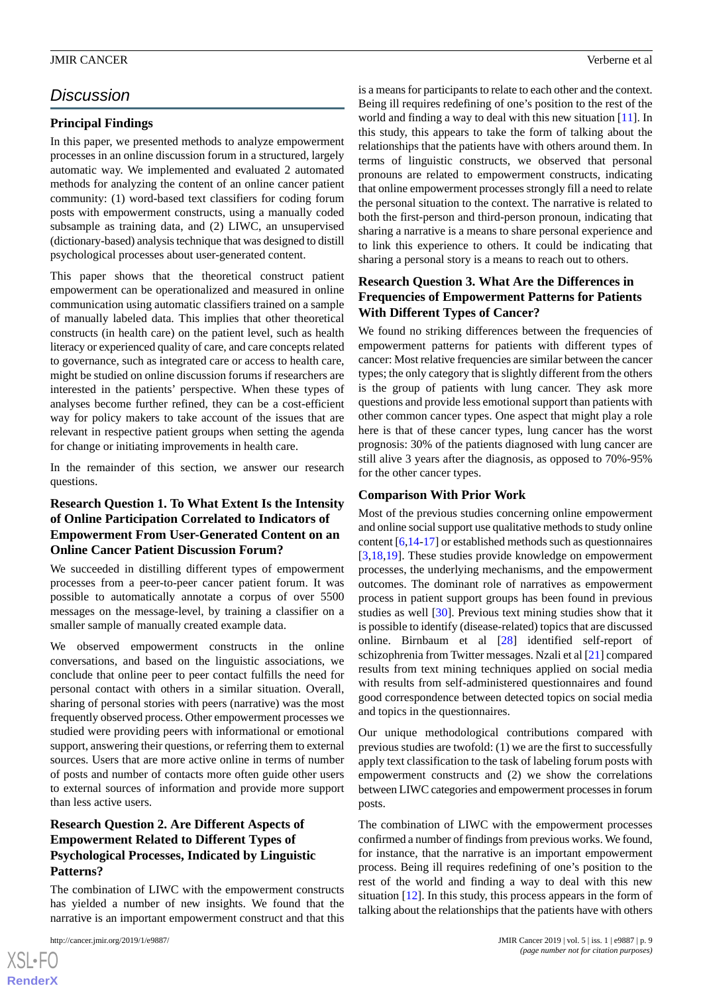# *Discussion*

#### **Principal Findings**

In this paper, we presented methods to analyze empowerment processes in an online discussion forum in a structured, largely automatic way. We implemented and evaluated 2 automated methods for analyzing the content of an online cancer patient community: (1) word-based text classifiers for coding forum posts with empowerment constructs, using a manually coded subsample as training data, and (2) LIWC, an unsupervised (dictionary-based) analysis technique that was designed to distill psychological processes about user-generated content.

This paper shows that the theoretical construct patient empowerment can be operationalized and measured in online communication using automatic classifiers trained on a sample of manually labeled data. This implies that other theoretical constructs (in health care) on the patient level, such as health literacy or experienced quality of care, and care concepts related to governance, such as integrated care or access to health care, might be studied on online discussion forums if researchers are interested in the patients' perspective. When these types of analyses become further refined, they can be a cost-efficient way for policy makers to take account of the issues that are relevant in respective patient groups when setting the agenda for change or initiating improvements in health care.

In the remainder of this section, we answer our research questions.

# **Research Question 1. To What Extent Is the Intensity of Online Participation Correlated to Indicators of Empowerment From User-Generated Content on an Online Cancer Patient Discussion Forum?**

We succeeded in distilling different types of empowerment processes from a peer-to-peer cancer patient forum. It was possible to automatically annotate a corpus of over 5500 messages on the message-level, by training a classifier on a smaller sample of manually created example data.

We observed empowerment constructs in the online conversations, and based on the linguistic associations, we conclude that online peer to peer contact fulfills the need for personal contact with others in a similar situation. Overall, sharing of personal stories with peers (narrative) was the most frequently observed process. Other empowerment processes we studied were providing peers with informational or emotional support, answering their questions, or referring them to external sources. Users that are more active online in terms of number of posts and number of contacts more often guide other users to external sources of information and provide more support than less active users.

# **Research Question 2. Are Different Aspects of Empowerment Related to Different Types of Psychological Processes, Indicated by Linguistic Patterns?**

The combination of LIWC with the empowerment constructs has yielded a number of new insights. We found that the narrative is an important empowerment construct and that this

is a means for participants to relate to each other and the context. Being ill requires redefining of one's position to the rest of the world and finding a way to deal with this new situation [\[11](#page-10-14)]. In this study, this appears to take the form of talking about the relationships that the patients have with others around them. In terms of linguistic constructs, we observed that personal pronouns are related to empowerment constructs, indicating that online empowerment processes strongly fill a need to relate the personal situation to the context. The narrative is related to both the first-person and third-person pronoun, indicating that sharing a narrative is a means to share personal experience and to link this experience to others. It could be indicating that sharing a personal story is a means to reach out to others.

# **Research Question 3. What Are the Differences in Frequencies of Empowerment Patterns for Patients With Different Types of Cancer?**

We found no striking differences between the frequencies of empowerment patterns for patients with different types of cancer: Most relative frequencies are similar between the cancer types; the only category that is slightly different from the others is the group of patients with lung cancer. They ask more questions and provide less emotional support than patients with other common cancer types. One aspect that might play a role here is that of these cancer types, lung cancer has the worst prognosis: 30% of the patients diagnosed with lung cancer are still alive 3 years after the diagnosis, as opposed to 70%-95% for the other cancer types.

#### **Comparison With Prior Work**

Most of the previous studies concerning online empowerment and online social support use qualitative methods to study online content [\[6](#page-10-15)[,14](#page-10-8)-[17](#page-10-10)] or established methods such as questionnaires [[3](#page-10-16)[,18](#page-10-12),[19\]](#page-10-13). These studies provide knowledge on empowerment processes, the underlying mechanisms, and the empowerment outcomes. The dominant role of narratives as empowerment process in patient support groups has been found in previous studies as well [\[30](#page-11-10)]. Previous text mining studies show that it is possible to identify (disease-related) topics that are discussed online. Birnbaum et al [[28\]](#page-11-8) identified self-report of schizophrenia from Twitter messages. Nzali et al [\[21](#page-11-1)] compared results from text mining techniques applied on social media with results from self-administered questionnaires and found good correspondence between detected topics on social media and topics in the questionnaires.

Our unique methodological contributions compared with previous studies are twofold: (1) we are the first to successfully apply text classification to the task of labeling forum posts with empowerment constructs and (2) we show the correlations between LIWC categories and empowerment processes in forum posts.

The combination of LIWC with the empowerment processes confirmed a number of findings from previous works. We found, for instance, that the narrative is an important empowerment process. Being ill requires redefining of one's position to the rest of the world and finding a way to deal with this new situation [[12\]](#page-10-7). In this study, this process appears in the form of talking about the relationships that the patients have with others

[XSL](http://www.w3.org/Style/XSL)•FO **[RenderX](http://www.renderx.com/)**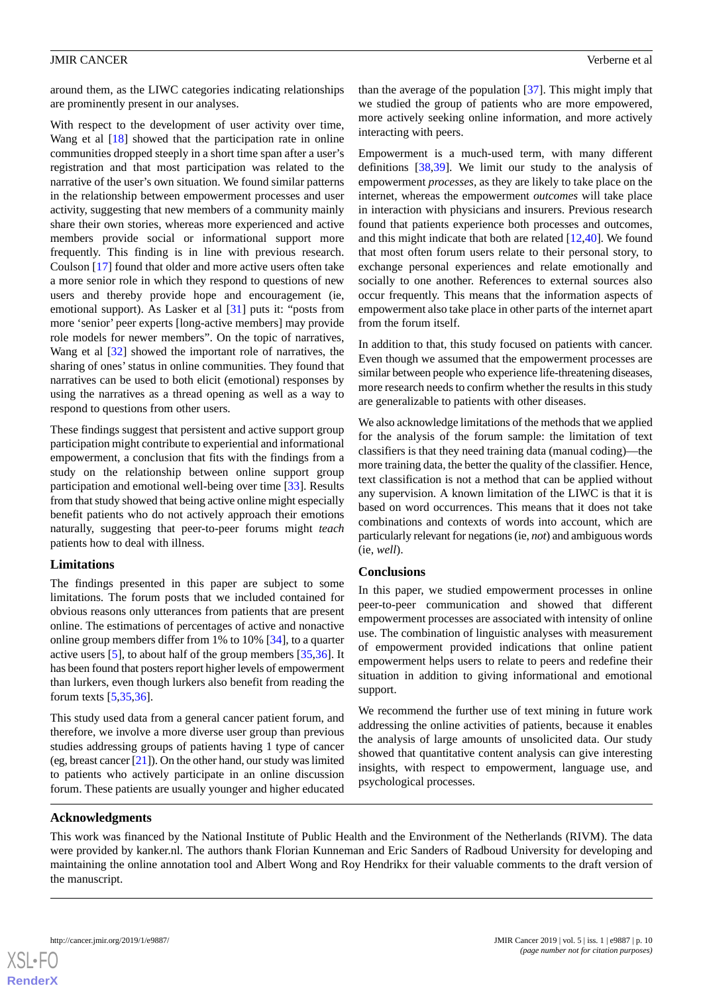around them, as the LIWC categories indicating relationships are prominently present in our analyses.

With respect to the development of user activity over time, Wang et al  $[18]$  $[18]$  showed that the participation rate in online communities dropped steeply in a short time span after a user's registration and that most participation was related to the narrative of the user's own situation. We found similar patterns in the relationship between empowerment processes and user activity, suggesting that new members of a community mainly share their own stories, whereas more experienced and active members provide social or informational support more frequently. This finding is in line with previous research. Coulson [[17\]](#page-10-10) found that older and more active users often take a more senior role in which they respond to questions of new users and thereby provide hope and encouragement (ie, emotional support). As Lasker et al [\[31](#page-11-11)] puts it: "posts from more 'senior' peer experts [long-active members] may provide role models for newer members". On the topic of narratives, Wang et al [\[32](#page-11-12)] showed the important role of narratives, the sharing of ones'status in online communities. They found that narratives can be used to both elicit (emotional) responses by using the narratives as a thread opening as well as a way to respond to questions from other users.

These findings suggest that persistent and active support group participation might contribute to experiential and informational empowerment, a conclusion that fits with the findings from a study on the relationship between online support group participation and emotional well-being over time [[33\]](#page-11-13). Results from that study showed that being active online might especially benefit patients who do not actively approach their emotions naturally, suggesting that peer-to-peer forums might *teach* patients how to deal with illness.

#### **Limitations**

The findings presented in this paper are subject to some limitations. The forum posts that we included contained for obvious reasons only utterances from patients that are present online. The estimations of percentages of active and nonactive online group members differ from 1% to 10% [[34\]](#page-11-14), to a quarter active users [[5\]](#page-10-2), to about half of the group members [[35,](#page-11-15)[36](#page-11-16)]. It has been found that posters report higher levels of empowerment than lurkers, even though lurkers also benefit from reading the forum texts [\[5](#page-10-2),[35,](#page-11-15)[36](#page-11-16)].

This study used data from a general cancer patient forum, and therefore, we involve a more diverse user group than previous studies addressing groups of patients having 1 type of cancer (eg, breast cancer [\[21\]](#page-11-1)). On the other hand, our study was limited to patients who actively participate in an online discussion forum. These patients are usually younger and higher educated

than the average of the population [[37\]](#page-11-17). This might imply that we studied the group of patients who are more empowered, more actively seeking online information, and more actively interacting with peers.

Empowerment is a much-used term, with many different definitions [[38](#page-11-18)[,39](#page-11-19)]. We limit our study to the analysis of empowerment *processes*, as they are likely to take place on the internet, whereas the empowerment *outcomes* will take place in interaction with physicians and insurers. Previous research found that patients experience both processes and outcomes, and this might indicate that both are related [\[12](#page-10-7),[40\]](#page-11-20). We found that most often forum users relate to their personal story, to exchange personal experiences and relate emotionally and socially to one another. References to external sources also occur frequently. This means that the information aspects of empowerment also take place in other parts of the internet apart from the forum itself.

In addition to that, this study focused on patients with cancer. Even though we assumed that the empowerment processes are similar between people who experience life-threatening diseases, more research needs to confirm whether the results in this study are generalizable to patients with other diseases.

We also acknowledge limitations of the methods that we applied for the analysis of the forum sample: the limitation of text classifiers is that they need training data (manual coding)—the more training data, the better the quality of the classifier. Hence, text classification is not a method that can be applied without any supervision. A known limitation of the LIWC is that it is based on word occurrences. This means that it does not take combinations and contexts of words into account, which are particularly relevant for negations (ie, *not*) and ambiguous words (ie, *well*).

#### **Conclusions**

In this paper, we studied empowerment processes in online peer-to-peer communication and showed that different empowerment processes are associated with intensity of online use. The combination of linguistic analyses with measurement of empowerment provided indications that online patient empowerment helps users to relate to peers and redefine their situation in addition to giving informational and emotional support.

We recommend the further use of text mining in future work addressing the online activities of patients, because it enables the analysis of large amounts of unsolicited data. Our study showed that quantitative content analysis can give interesting insights, with respect to empowerment, language use, and psychological processes.

### **Acknowledgments**

This work was financed by the National Institute of Public Health and the Environment of the Netherlands (RIVM). The data were provided by kanker.nl. The authors thank Florian Kunneman and Eric Sanders of Radboud University for developing and maintaining the online annotation tool and Albert Wong and Roy Hendrikx for their valuable comments to the draft version of the manuscript.

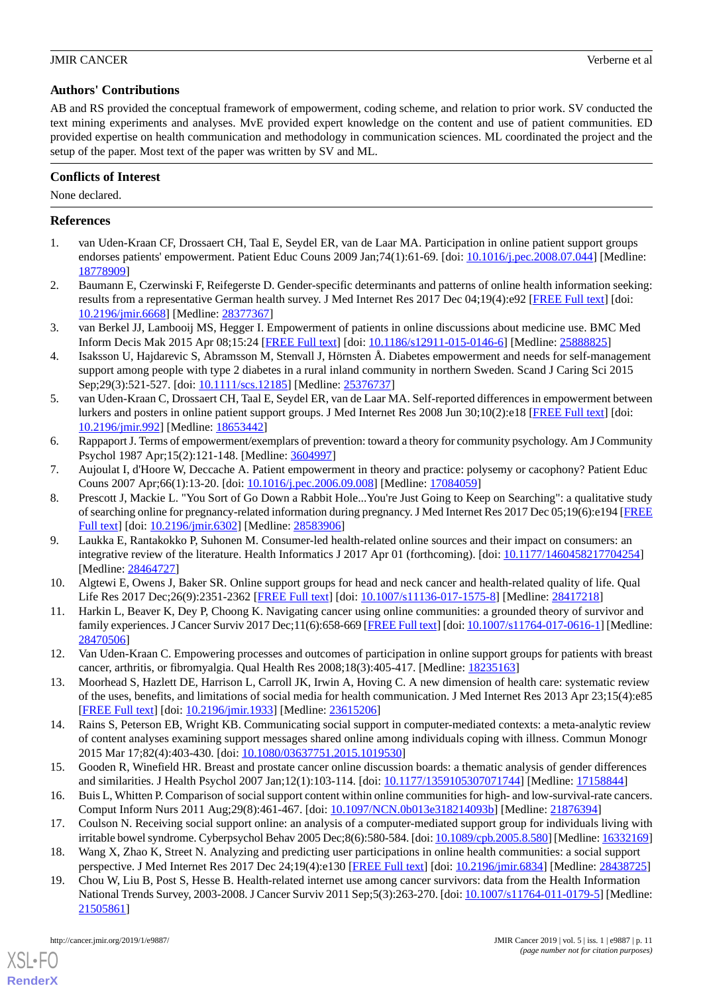# **Authors' Contributions**

AB and RS provided the conceptual framework of empowerment, coding scheme, and relation to prior work. SV conducted the text mining experiments and analyses. MvE provided expert knowledge on the content and use of patient communities. ED provided expertise on health communication and methodology in communication sciences. ML coordinated the project and the setup of the paper. Most text of the paper was written by SV and ML.

# **Conflicts of Interest**

None declared.

# <span id="page-10-0"></span>**References**

- 1. van Uden-Kraan CF, Drossaert CH, Taal E, Seydel ER, van de Laar MA. Participation in online patient support groups endorses patients' empowerment. Patient Educ Couns 2009 Jan;74(1):61-69. [doi: [10.1016/j.pec.2008.07.044](http://dx.doi.org/10.1016/j.pec.2008.07.044)] [Medline: [18778909](http://www.ncbi.nlm.nih.gov/entrez/query.fcgi?cmd=Retrieve&db=PubMed&list_uids=18778909&dopt=Abstract)]
- <span id="page-10-16"></span>2. Baumann E, Czerwinski F, Reifegerste D. Gender-specific determinants and patterns of online health information seeking: results from a representative German health survey. J Med Internet Res 2017 Dec 04;19(4):e92 [[FREE Full text\]](http://www.jmir.org/2017/4/e92/) [doi: [10.2196/jmir.6668](http://dx.doi.org/10.2196/jmir.6668)] [Medline: [28377367](http://www.ncbi.nlm.nih.gov/entrez/query.fcgi?cmd=Retrieve&db=PubMed&list_uids=28377367&dopt=Abstract)]
- <span id="page-10-1"></span>3. van Berkel JJ, Lambooij MS, Hegger I. Empowerment of patients in online discussions about medicine use. BMC Med Inform Decis Mak 2015 Apr 08;15:24 [[FREE Full text](https://bmcmedinformdecismak.biomedcentral.com/articles/10.1186/s12911-015-0146-6)] [doi: [10.1186/s12911-015-0146-6\]](http://dx.doi.org/10.1186/s12911-015-0146-6) [Medline: [25888825](http://www.ncbi.nlm.nih.gov/entrez/query.fcgi?cmd=Retrieve&db=PubMed&list_uids=25888825&dopt=Abstract)]
- <span id="page-10-2"></span>4. Isaksson U, Hajdarevic S, Abramsson M, Stenvall J, Hörnsten Å. Diabetes empowerment and needs for self-management support among people with type 2 diabetes in a rural inland community in northern Sweden. Scand J Caring Sci 2015 Sep;29(3):521-527. [doi: [10.1111/scs.12185\]](http://dx.doi.org/10.1111/scs.12185) [Medline: [25376737](http://www.ncbi.nlm.nih.gov/entrez/query.fcgi?cmd=Retrieve&db=PubMed&list_uids=25376737&dopt=Abstract)]
- <span id="page-10-15"></span>5. van Uden-Kraan C, Drossaert CH, Taal E, Seydel ER, van de Laar MA. Self-reported differences in empowerment between lurkers and posters in online patient support groups. J Med Internet Res 2008 Jun 30;10(2):e18 [\[FREE Full text\]](http://www.jmir.org/2008/2/e18/) [doi: [10.2196/jmir.992](http://dx.doi.org/10.2196/jmir.992)] [Medline: [18653442](http://www.ncbi.nlm.nih.gov/entrez/query.fcgi?cmd=Retrieve&db=PubMed&list_uids=18653442&dopt=Abstract)]
- <span id="page-10-4"></span><span id="page-10-3"></span>6. Rappaport J. Terms of empowerment/exemplars of prevention: toward a theory for community psychology. Am J Community Psychol 1987 Apr;15(2):121-148. [Medline: [3604997](http://www.ncbi.nlm.nih.gov/entrez/query.fcgi?cmd=Retrieve&db=PubMed&list_uids=3604997&dopt=Abstract)]
- 7. Aujoulat I, d'Hoore W, Deccache A. Patient empowerment in theory and practice: polysemy or cacophony? Patient Educ Couns 2007 Apr;66(1):13-20. [doi: [10.1016/j.pec.2006.09.008](http://dx.doi.org/10.1016/j.pec.2006.09.008)] [Medline: [17084059](http://www.ncbi.nlm.nih.gov/entrez/query.fcgi?cmd=Retrieve&db=PubMed&list_uids=17084059&dopt=Abstract)]
- 8. Prescott J, Mackie L. "You Sort of Go Down a Rabbit Hole...You're Just Going to Keep on Searching": a qualitative study of searching online for pregnancy-related information during pregnancy. J Med Internet Res 2017 Dec 05;19(6):e194 [\[FREE](http://www.jmir.org/2017/6/e194/) [Full text\]](http://www.jmir.org/2017/6/e194/) [doi: [10.2196/jmir.6302](http://dx.doi.org/10.2196/jmir.6302)] [Medline: [28583906\]](http://www.ncbi.nlm.nih.gov/entrez/query.fcgi?cmd=Retrieve&db=PubMed&list_uids=28583906&dopt=Abstract)
- <span id="page-10-14"></span><span id="page-10-6"></span>9. Laukka E, Rantakokko P, Suhonen M. Consumer-led health-related online sources and their impact on consumers: an integrative review of the literature. Health Informatics J 2017 Apr 01 (forthcoming). [doi: [10.1177/1460458217704254](http://dx.doi.org/10.1177/1460458217704254)] [Medline: [28464727](http://www.ncbi.nlm.nih.gov/entrez/query.fcgi?cmd=Retrieve&db=PubMed&list_uids=28464727&dopt=Abstract)]
- <span id="page-10-7"></span>10. Algtewi E, Owens J, Baker SR. Online support groups for head and neck cancer and health-related quality of life. Qual Life Res 2017 Dec;26(9):2351-2362 [\[FREE Full text\]](http://europepmc.org/abstract/MED/28417218) [doi: [10.1007/s11136-017-1575-8\]](http://dx.doi.org/10.1007/s11136-017-1575-8) [Medline: [28417218\]](http://www.ncbi.nlm.nih.gov/entrez/query.fcgi?cmd=Retrieve&db=PubMed&list_uids=28417218&dopt=Abstract)
- <span id="page-10-5"></span>11. Harkin L, Beaver K, Dey P, Choong K. Navigating cancer using online communities: a grounded theory of survivor and family experiences. J Cancer Surviv 2017 Dec;11(6):658-669 [\[FREE Full text](http://europepmc.org/abstract/MED/28470506)] [doi: [10.1007/s11764-017-0616-1\]](http://dx.doi.org/10.1007/s11764-017-0616-1) [Medline: [28470506](http://www.ncbi.nlm.nih.gov/entrez/query.fcgi?cmd=Retrieve&db=PubMed&list_uids=28470506&dopt=Abstract)]
- <span id="page-10-8"></span>12. Van Uden-Kraan C. Empowering processes and outcomes of participation in online support groups for patients with breast cancer, arthritis, or fibromyalgia. Qual Health Res 2008;18(3):405-417. [Medline: [18235163\]](http://www.ncbi.nlm.nih.gov/entrez/query.fcgi?cmd=Retrieve&db=PubMed&list_uids=18235163&dopt=Abstract)
- <span id="page-10-9"></span>13. Moorhead S, Hazlett DE, Harrison L, Carroll JK, Irwin A, Hoving C. A new dimension of health care: systematic review of the uses, benefits, and limitations of social media for health communication. J Med Internet Res 2013 Apr 23;15(4):e85 [[FREE Full text](http://www.jmir.org/2013/4/e85/)] [doi: [10.2196/jmir.1933](http://dx.doi.org/10.2196/jmir.1933)] [Medline: [23615206](http://www.ncbi.nlm.nih.gov/entrez/query.fcgi?cmd=Retrieve&db=PubMed&list_uids=23615206&dopt=Abstract)]
- <span id="page-10-11"></span><span id="page-10-10"></span>14. Rains S, Peterson EB, Wright KB. Communicating social support in computer-mediated contexts: a meta-analytic review of content analyses examining support messages shared online among individuals coping with illness. Commun Monogr 2015 Mar 17;82(4):403-430. [doi: [10.1080/03637751.2015.1019530](http://dx.doi.org/10.1080/03637751.2015.1019530)]
- <span id="page-10-12"></span>15. Gooden R, Winefield HR. Breast and prostate cancer online discussion boards: a thematic analysis of gender differences and similarities. J Health Psychol 2007 Jan;12(1):103-114. [doi: [10.1177/1359105307071744\]](http://dx.doi.org/10.1177/1359105307071744) [Medline: [17158844](http://www.ncbi.nlm.nih.gov/entrez/query.fcgi?cmd=Retrieve&db=PubMed&list_uids=17158844&dopt=Abstract)]
- <span id="page-10-13"></span>16. Buis L, Whitten P. Comparison of social support content within online communities for high- and low-survival-rate cancers. Comput Inform Nurs 2011 Aug;29(8):461-467. [doi: [10.1097/NCN.0b013e318214093b](http://dx.doi.org/10.1097/NCN.0b013e318214093b)] [Medline: [21876394](http://www.ncbi.nlm.nih.gov/entrez/query.fcgi?cmd=Retrieve&db=PubMed&list_uids=21876394&dopt=Abstract)]
- 17. Coulson N. Receiving social support online: an analysis of a computer-mediated support group for individuals living with irritable bowel syndrome. Cyberpsychol Behav 2005 Dec;8(6):580-584. [doi: [10.1089/cpb.2005.8.580](http://dx.doi.org/10.1089/cpb.2005.8.580)] [Medline: [16332169\]](http://www.ncbi.nlm.nih.gov/entrez/query.fcgi?cmd=Retrieve&db=PubMed&list_uids=16332169&dopt=Abstract)
- 18. Wang X, Zhao K, Street N. Analyzing and predicting user participations in online health communities: a social support perspective. J Med Internet Res 2017 Dec 24;19(4):e130 [[FREE Full text\]](http://www.jmir.org/2017/4/e130/) [doi: [10.2196/jmir.6834](http://dx.doi.org/10.2196/jmir.6834)] [Medline: [28438725\]](http://www.ncbi.nlm.nih.gov/entrez/query.fcgi?cmd=Retrieve&db=PubMed&list_uids=28438725&dopt=Abstract)
- 19. Chou W, Liu B, Post S, Hesse B. Health-related internet use among cancer survivors: data from the Health Information National Trends Survey, 2003-2008. J Cancer Surviv 2011 Sep;5(3):263-270. [doi: [10.1007/s11764-011-0179-5](http://dx.doi.org/10.1007/s11764-011-0179-5)] [Medline: [21505861](http://www.ncbi.nlm.nih.gov/entrez/query.fcgi?cmd=Retrieve&db=PubMed&list_uids=21505861&dopt=Abstract)]

[XSL](http://www.w3.org/Style/XSL)•FO **[RenderX](http://www.renderx.com/)**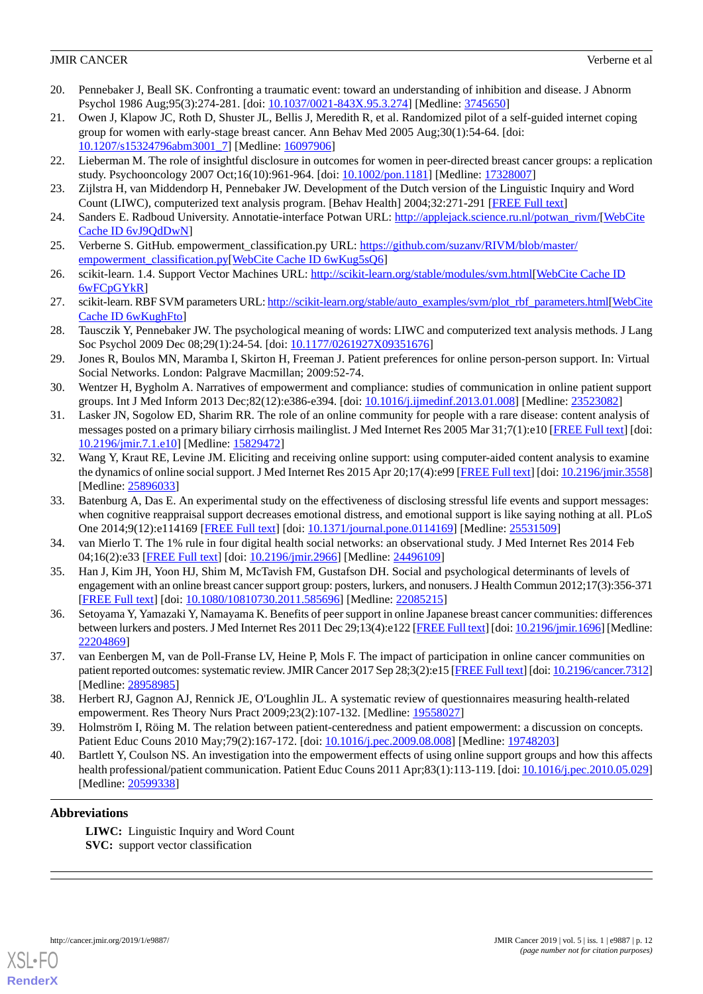- <span id="page-11-0"></span>20. Pennebaker J, Beall SK. Confronting a traumatic event: toward an understanding of inhibition and disease. J Abnorm Psychol 1986 Aug;95(3):274-281. [doi: [10.1037/0021-843X.95.3.274\]](http://dx.doi.org/10.1037/0021-843X.95.3.274) [Medline: [3745650](http://www.ncbi.nlm.nih.gov/entrez/query.fcgi?cmd=Retrieve&db=PubMed&list_uids=3745650&dopt=Abstract)]
- <span id="page-11-1"></span>21. Owen J, Klapow JC, Roth D, Shuster JL, Bellis J, Meredith R, et al. Randomized pilot of a self-guided internet coping group for women with early-stage breast cancer. Ann Behav Med 2005 Aug;30(1):54-64. [doi: [10.1207/s15324796abm3001\\_7\]](http://dx.doi.org/10.1207/s15324796abm3001_7) [Medline: [16097906\]](http://www.ncbi.nlm.nih.gov/entrez/query.fcgi?cmd=Retrieve&db=PubMed&list_uids=16097906&dopt=Abstract)
- <span id="page-11-3"></span><span id="page-11-2"></span>22. Lieberman M. The role of insightful disclosure in outcomes for women in peer-directed breast cancer groups: a replication study. Psychooncology 2007 Oct;16(10):961-964. [doi: [10.1002/pon.1181\]](http://dx.doi.org/10.1002/pon.1181) [Medline: [17328007\]](http://www.ncbi.nlm.nih.gov/entrez/query.fcgi?cmd=Retrieve&db=PubMed&list_uids=17328007&dopt=Abstract)
- <span id="page-11-4"></span>23. Zijlstra H, van Middendorp H, Pennebaker JW. Development of the Dutch version of the Linguistic Inquiry and Word Count (LIWC), computerized text analysis program. [Behav Health] 2004;32:271-291 [[FREE Full text](https://www.researchgate.net/publication/46636784_Development_of_the_Dutch_version_of_the_Linguistic_Inquiry_and_Word_Count_LIWC_computerized_text_analysis_program)]
- <span id="page-11-5"></span>24. Sanders E. Radboud University. Annotatie-interface Potwan URL: [http://applejack.science.ru.nl/potwan\\_rivm/](http://applejack.science.ru.nl/potwan_rivm/)[[WebCite](http://www.webcitation.org/

                                            6vJ9QdDwN) [Cache ID 6vJ9QdDwN\]](http://www.webcitation.org/

                                            6vJ9QdDwN)
- <span id="page-11-6"></span>25. Verberne S. GitHub. empowerment\_classification.py URL: [https://github.com/suzanv/RIVM/blob/master/](https://github.com/suzanv/RIVM/blob/master/empowerment_classification.py) [empowerment\\_classification.py](https://github.com/suzanv/RIVM/blob/master/empowerment_classification.py)[[WebCite Cache ID 6wKug5sQ6\]](http://www.webcitation.org/

                                            6wKug5sQ6)
- <span id="page-11-7"></span>26. scikit-learn. 1.4. Support Vector Machines URL:<http://scikit-learn.org/stable/modules/svm.html>[\[WebCite Cache ID](http://www.webcitation.org/

                                            6wFCpGYkR) [6wFCpGYkR](http://www.webcitation.org/

                                            6wFCpGYkR)]
- <span id="page-11-8"></span>27. scikit-learn. RBF SVM parameters URL: [http://scikit-learn.org/stable/auto\\_examples/svm/plot\\_rbf\\_parameters.html\[](http://scikit-learn.org/stable/auto_examples/svm/plot_rbf_parameters.html)[WebCite](http://www.webcitation.org/

                                            6wKughFto) [Cache ID 6wKughFto\]](http://www.webcitation.org/

                                            6wKughFto)
- <span id="page-11-9"></span>28. Tausczik Y, Pennebaker JW. The psychological meaning of words: LIWC and computerized text analysis methods. J Lang Soc Psychol 2009 Dec 08;29(1):24-54. [doi: [10.1177/0261927X09351676\]](http://dx.doi.org/10.1177/0261927X09351676)
- <span id="page-11-10"></span>29. Jones R, Boulos MN, Maramba I, Skirton H, Freeman J. Patient preferences for online person-person support. In: Virtual Social Networks. London: Palgrave Macmillan; 2009:52-74.
- <span id="page-11-11"></span>30. Wentzer H, Bygholm A. Narratives of empowerment and compliance: studies of communication in online patient support groups. Int J Med Inform 2013 Dec;82(12):e386-e394. [doi: [10.1016/j.ijmedinf.2013.01.008](http://dx.doi.org/10.1016/j.ijmedinf.2013.01.008)] [Medline: [23523082\]](http://www.ncbi.nlm.nih.gov/entrez/query.fcgi?cmd=Retrieve&db=PubMed&list_uids=23523082&dopt=Abstract)
- <span id="page-11-12"></span>31. Lasker JN, Sogolow ED, Sharim RR. The role of an online community for people with a rare disease: content analysis of messages posted on a primary biliary cirrhosis mailinglist. J Med Internet Res 2005 Mar 31;7(1):e10 [[FREE Full text](http://www.jmir.org/2005/1/e10/)] [doi: [10.2196/jmir.7.1.e10\]](http://dx.doi.org/10.2196/jmir.7.1.e10) [Medline: [15829472\]](http://www.ncbi.nlm.nih.gov/entrez/query.fcgi?cmd=Retrieve&db=PubMed&list_uids=15829472&dopt=Abstract)
- <span id="page-11-13"></span>32. Wang Y, Kraut RE, Levine JM. Eliciting and receiving online support: using computer-aided content analysis to examine the dynamics of online social support. J Med Internet Res 2015 Apr 20;17(4):e99 [\[FREE Full text\]](http://www.jmir.org/2015/4/e99/) [doi: [10.2196/jmir.3558](http://dx.doi.org/10.2196/jmir.3558)] [Medline: [25896033](http://www.ncbi.nlm.nih.gov/entrez/query.fcgi?cmd=Retrieve&db=PubMed&list_uids=25896033&dopt=Abstract)]
- <span id="page-11-15"></span><span id="page-11-14"></span>33. Batenburg A, Das E. An experimental study on the effectiveness of disclosing stressful life events and support messages: when cognitive reappraisal support decreases emotional distress, and emotional support is like saying nothing at all. PLoS One 2014;9(12):e114169 [\[FREE Full text\]](http://dx.plos.org/10.1371/journal.pone.0114169) [doi: [10.1371/journal.pone.0114169\]](http://dx.doi.org/10.1371/journal.pone.0114169) [Medline: [25531509\]](http://www.ncbi.nlm.nih.gov/entrez/query.fcgi?cmd=Retrieve&db=PubMed&list_uids=25531509&dopt=Abstract)
- <span id="page-11-16"></span>34. van Mierlo T. The 1% rule in four digital health social networks: an observational study. J Med Internet Res 2014 Feb 04;16(2):e33 [\[FREE Full text](http://www.jmir.org/2014/2/e33/)] [doi: [10.2196/jmir.2966\]](http://dx.doi.org/10.2196/jmir.2966) [Medline: [24496109](http://www.ncbi.nlm.nih.gov/entrez/query.fcgi?cmd=Retrieve&db=PubMed&list_uids=24496109&dopt=Abstract)]
- <span id="page-11-17"></span>35. Han J, Kim JH, Yoon HJ, Shim M, McTavish FM, Gustafson DH. Social and psychological determinants of levels of engagement with an online breast cancer support group: posters, lurkers, and nonusers. J Health Commun 2012;17(3):356-371 [[FREE Full text](http://europepmc.org/abstract/MED/22085215)] [doi: [10.1080/10810730.2011.585696\]](http://dx.doi.org/10.1080/10810730.2011.585696) [Medline: [22085215\]](http://www.ncbi.nlm.nih.gov/entrez/query.fcgi?cmd=Retrieve&db=PubMed&list_uids=22085215&dopt=Abstract)
- <span id="page-11-18"></span>36. Setoyama Y, Yamazaki Y, Namayama K. Benefits of peer support in online Japanese breast cancer communities: differences between lurkers and posters. J Med Internet Res 2011 Dec 29;13(4):e122 [[FREE Full text](http://www.jmir.org/2011/4/e122/)] [doi: [10.2196/jmir.1696\]](http://dx.doi.org/10.2196/jmir.1696) [Medline: [22204869](http://www.ncbi.nlm.nih.gov/entrez/query.fcgi?cmd=Retrieve&db=PubMed&list_uids=22204869&dopt=Abstract)]
- <span id="page-11-19"></span>37. van Eenbergen M, van de Poll-Franse LV, Heine P, Mols F. The impact of participation in online cancer communities on patient reported outcomes: systematic review. JMIR Cancer 2017 Sep 28;3(2):e15 [\[FREE Full text](http://cancer.jmir.org/2017/2/e15/)] [doi: [10.2196/cancer.7312\]](http://dx.doi.org/10.2196/cancer.7312) [Medline: [28958985](http://www.ncbi.nlm.nih.gov/entrez/query.fcgi?cmd=Retrieve&db=PubMed&list_uids=28958985&dopt=Abstract)]
- <span id="page-11-20"></span>38. Herbert RJ, Gagnon AJ, Rennick JE, O'Loughlin JL. A systematic review of questionnaires measuring health-related empowerment. Res Theory Nurs Pract 2009;23(2):107-132. [Medline: [19558027\]](http://www.ncbi.nlm.nih.gov/entrez/query.fcgi?cmd=Retrieve&db=PubMed&list_uids=19558027&dopt=Abstract)
- 39. Holmström I, Röing M. The relation between patient-centeredness and patient empowerment: a discussion on concepts. Patient Educ Couns 2010 May; 79(2): 167-172. [doi: 10.1016/j.pec. 2009.08.008] [Medline: [19748203](http://www.ncbi.nlm.nih.gov/entrez/query.fcgi?cmd=Retrieve&db=PubMed&list_uids=19748203&dopt=Abstract)]
- 40. Bartlett Y, Coulson NS. An investigation into the empowerment effects of using online support groups and how this affects health professional/patient communication. Patient Educ Couns 2011 Apr;83(1):113-119. [doi: [10.1016/j.pec.2010.05.029](http://dx.doi.org/10.1016/j.pec.2010.05.029)] [Medline: [20599338](http://www.ncbi.nlm.nih.gov/entrez/query.fcgi?cmd=Retrieve&db=PubMed&list_uids=20599338&dopt=Abstract)]

# **Abbreviations**

**LIWC:** Linguistic Inquiry and Word Count **SVC:** support vector classification